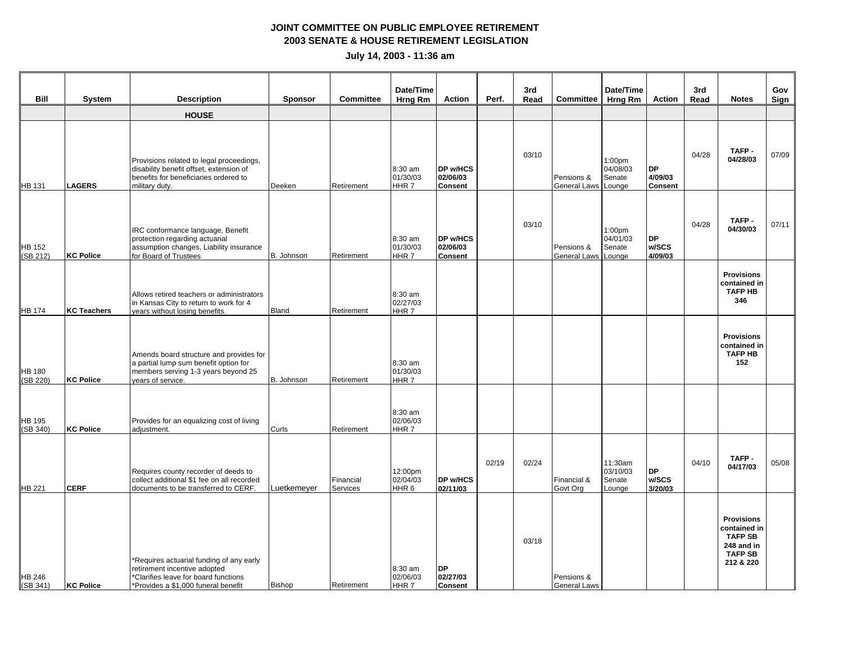| Bill                      | <b>System</b>      | <b>Description</b>                                                                                                                                      | <b>Sponsor</b> | <b>Committee</b>      | Date/Time<br><b>Hrng Rm</b>             | <b>Action</b>                           | Perf. | 3rd<br>Read | <b>Committee</b>                  | Date/Time<br>Hrng Rm                               | <b>Action</b>                          | 3rd<br>Read | <b>Notes</b>                                                                                     | Gov<br>Sign |
|---------------------------|--------------------|---------------------------------------------------------------------------------------------------------------------------------------------------------|----------------|-----------------------|-----------------------------------------|-----------------------------------------|-------|-------------|-----------------------------------|----------------------------------------------------|----------------------------------------|-------------|--------------------------------------------------------------------------------------------------|-------------|
|                           |                    | <b>HOUSE</b>                                                                                                                                            |                |                       |                                         |                                         |       |             |                                   |                                                    |                                        |             |                                                                                                  |             |
| HB 131                    | <b>LAGERS</b>      | Provisions related to legal proceedings,<br>disability benefit offset, extension of<br>benefits for beneficiaries ordered to<br>military duty.          | Deeken         | Retirement            | 8:30 am<br>01/30/03<br>HHR 7            | DP w/HCS<br>02/06/03<br><b>Consent</b>  |       | 03/10       | Pensions &<br>General Laws        | 1:00 <sub>pm</sub><br>04/08/03<br>Senate<br>Lounge | <b>DP</b><br>4/09/03<br><b>Consent</b> | 04/28       | TAFP-<br>04/28/03                                                                                | 07/09       |
| <b>HB</b> 152<br>(SB 212) | <b>KC Police</b>   | IRC conformance language, Benefit<br>protection regarding actuarial<br>assumption changes, Liability insurance<br>for Board of Trustees                 | B. Johnson     | Retirement            | 8:30 am<br>01/30/03<br>HHR <sub>7</sub> | DP w/HCS<br>02/06/03<br><b>Consent</b>  |       | 03/10       | Pensions &<br>General Laws Lounge | 1:00 <sub>pm</sub><br>04/01/03<br>Senate           | DP<br>w/SCS<br>4/09/03                 | 04/28       | TAFP-<br>04/30/03                                                                                | 07/11       |
| HB 174                    | <b>KC Teachers</b> | Allows retired teachers or administrators<br>in Kansas City to return to work for 4<br>years without losing benefits.                                   | Bland          | Retirement            | 8:30 am<br>02/27/03<br>HHR <sub>7</sub> |                                         |       |             |                                   |                                                    |                                        |             | <b>Provisions</b><br>contained in<br><b>TAFP HB</b><br>346                                       |             |
| <b>HB 180</b><br>(SB 220) | <b>KC Police</b>   | Amends board structure and provides for<br>a partial lump sum benefit option for<br>members serving 1-3 years beyond 25<br>years of service.            | B. Johnson     | Retirement            | 8:30 am<br>01/30/03<br>HHR <sub>7</sub> |                                         |       |             |                                   |                                                    |                                        |             | <b>Provisions</b><br>contained in<br><b>TAFP HB</b><br>152                                       |             |
| <b>HB 195</b><br>(SB 340) | KC Police          | Provides for an equalizing cost of living<br>adjustment.                                                                                                | Curls          | Retirement            | 8:30 am<br>02/06/03<br>HHR 7            |                                         |       |             |                                   |                                                    |                                        |             |                                                                                                  |             |
| HB 221                    | <b>CERF</b>        | Requires county recorder of deeds to<br>collect additional \$1 fee on all recorded<br>documents to be transferred to CERF.                              | Luetkemeyer    | Financial<br>Services | 12:00pm<br>02/04/03<br>HHR <sub>6</sub> | DP w/HCS<br>02/11/03                    | 02/19 | 02/24       | Financial &<br>Govt Org           | 11:30am<br>03/10/03<br>Senate<br>Lounge            | <b>DP</b><br>w/SCS<br>3/20/03          | 04/10       | TAFP-<br>04/17/03                                                                                | 05/08       |
| HB 246<br>(SB 341)        | <b>KC Police</b>   | *Requires actuarial funding of any early<br>retirement incentive adopted<br>*Clarifies leave for board functions<br>*Provides a \$1,000 funeral benefit | Bishop         | Retirement            | 8:30 am<br>02/06/03<br>HHR <sub>7</sub> | <b>DP</b><br>02/27/03<br><b>Consent</b> |       | 03/18       | Pensions &<br><b>General Laws</b> |                                                    |                                        |             | <b>Provisions</b><br>contained in<br><b>TAFP SB</b><br>248 and in<br><b>TAFP SB</b><br>212 & 220 |             |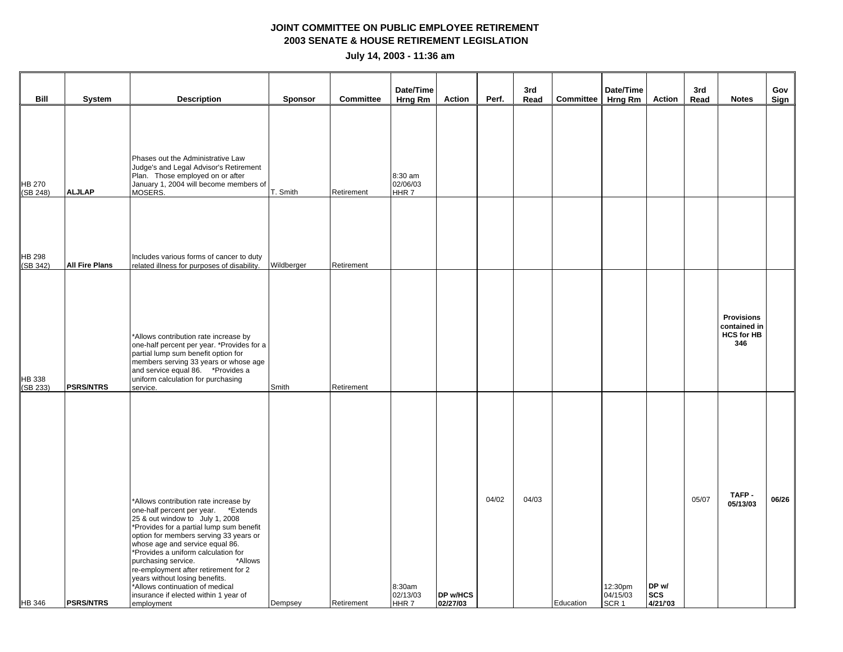| Bill                      | <b>System</b>         | <b>Description</b>                                                                                                                                                                                                                                                                                                                                                                                                                                                                    | <b>Sponsor</b> | <b>Committee</b> | Date/Time<br>Hrng Rm         | Action                      | Perf. | 3rd<br>Read | Committee | Date/Time<br>Hrng Rm                    | Action                         | 3rd<br>Read | <b>Notes</b>                                                  | Gov<br>Sign |
|---------------------------|-----------------------|---------------------------------------------------------------------------------------------------------------------------------------------------------------------------------------------------------------------------------------------------------------------------------------------------------------------------------------------------------------------------------------------------------------------------------------------------------------------------------------|----------------|------------------|------------------------------|-----------------------------|-------|-------------|-----------|-----------------------------------------|--------------------------------|-------------|---------------------------------------------------------------|-------------|
| <b>HB 270</b><br>(SB 248) | <b>ALJLAP</b>         | Phases out the Administrative Law<br>Judge's and Legal Advisor's Retirement<br>Plan. Those employed on or after<br>January 1, 2004 will become members of<br>MOSERS.                                                                                                                                                                                                                                                                                                                  | T. Smith       | Retirement       | 8:30 am<br>02/06/03<br>HHR 7 |                             |       |             |           |                                         |                                |             |                                                               |             |
| <b>HB 298</b><br>(SB 342) | <b>All Fire Plans</b> | Includes various forms of cancer to duty<br>related illness for purposes of disability.                                                                                                                                                                                                                                                                                                                                                                                               | Wildberger     | Retirement       |                              |                             |       |             |           |                                         |                                |             |                                                               |             |
| HB 338<br>(SB 233)        | <b>PSRS/NTRS</b>      | *Allows contribution rate increase by<br>one-half percent per year. *Provides for a<br>partial lump sum benefit option for<br>members serving 33 years or whose age<br>and service equal 86. * Provides a<br>uniform calculation for purchasing<br>service.                                                                                                                                                                                                                           | Smith          | Retirement       |                              |                             |       |             |           |                                         |                                |             | <b>Provisions</b><br>contained in<br><b>HCS for HB</b><br>346 |             |
| <b>HB</b> 346             | <b>PSRS/NTRS</b>      | *Allows contribution rate increase by<br>one-half percent per year. *Extends<br>25 & out window to July 1, 2008<br>*Provides for a partial lump sum benefit<br>option for members serving 33 years or<br>whose age and service equal 86.<br>*Provides a uniform calculation for<br>purchasing service.<br>*Allows<br>re-employment after retirement for 2<br>years without losing benefits.<br>*Allows continuation of medical<br>insurance if elected within 1 year of<br>employment | Dempsey        | Retirement       | 8:30am<br>02/13/03<br>HHR 7  | <b>DP w/HCS</b><br>02/27/03 | 04/02 | 04/03       | Education | 12:30pm<br>04/15/03<br>SCR <sub>1</sub> | DP w/<br><b>SCS</b><br>4/21/03 | 05/07       | TAFP-<br>05/13/03                                             | 06/26       |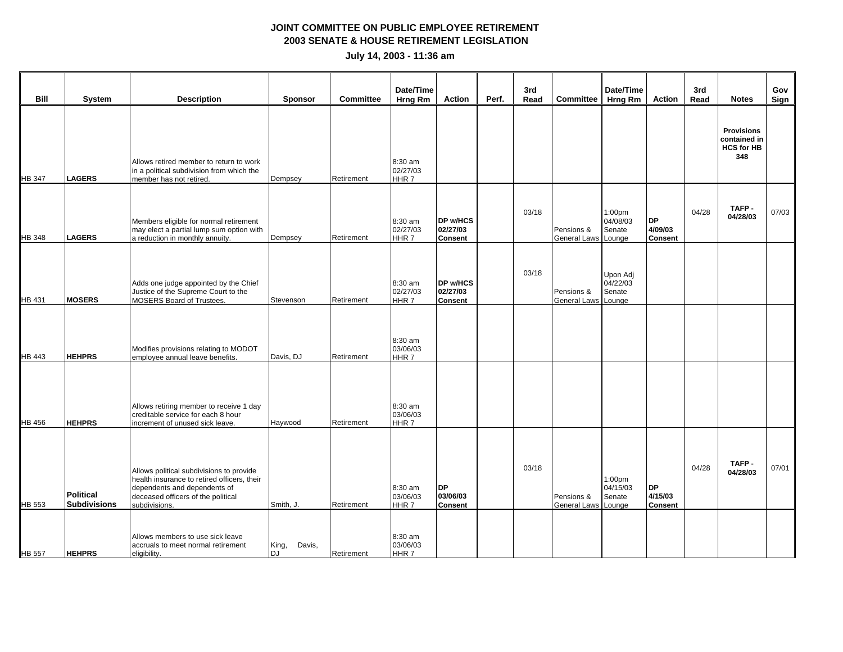|               |                                         |                                                                                                                                                                                |                        |                  | Date/Time                               |                                         |       | 3rd   |                                   | Date/Time                                |                                        | 3rd   |                                                               | Gov   |
|---------------|-----------------------------------------|--------------------------------------------------------------------------------------------------------------------------------------------------------------------------------|------------------------|------------------|-----------------------------------------|-----------------------------------------|-------|-------|-----------------------------------|------------------------------------------|----------------------------------------|-------|---------------------------------------------------------------|-------|
| <b>Bill</b>   | System                                  | <b>Description</b>                                                                                                                                                             | <b>Sponsor</b>         | <b>Committee</b> | Hrng Rm                                 | <b>Action</b>                           | Perf. | Read  | <b>Committee</b>                  | <b>Hrng Rm</b>                           | <b>Action</b>                          | Read  | <b>Notes</b>                                                  | Sign  |
| <b>HB 347</b> | <b>LAGERS</b>                           | Allows retired member to return to work<br>in a political subdivision from which the<br>member has not retired.                                                                | Dempsey                | Retirement       | 8:30 am<br>02/27/03<br>HHR 7            |                                         |       |       |                                   |                                          |                                        |       | <b>Provisions</b><br>contained in<br><b>HCS for HB</b><br>348 |       |
| HB 348        | <b>LAGERS</b>                           | Members eligible for normal retirement<br>may elect a partial lump sum option with<br>a reduction in monthly annuity.                                                          | Dempsey                | Retirement       | 8:30 am<br>02/27/03<br>HHR 7            | DP w/HCS<br>02/27/03<br><b>Consent</b>  |       | 03/18 | Pensions &<br>General Laws Lounge | 1:00 <sub>pm</sub><br>04/08/03<br>Senate | <b>DP</b><br>4/09/03<br><b>Consent</b> | 04/28 | TAFP-<br>04/28/03                                             | 07/03 |
| HB 431        | <b>MOSERS</b>                           | Adds one judge appointed by the Chief<br>Justice of the Supreme Court to the<br>MOSERS Board of Trustees.                                                                      | Stevenson              | Retirement       | 8:30 am<br>02/27/03<br>HHR 7            | DP w/HCS<br>02/27/03<br><b>Consent</b>  |       | 03/18 | Pensions &<br>General Laws Lounge | Upon Adj<br>04/22/03<br>Senate           |                                        |       |                                                               |       |
| HB 443        | <b>HEHPRS</b>                           | Modifies provisions relating to MODOT<br>employee annual leave benefits.                                                                                                       | Davis, DJ              | Retirement       | 8:30 am<br>03/06/03<br>HHR 7            |                                         |       |       |                                   |                                          |                                        |       |                                                               |       |
| <b>HB 456</b> | <b>HEHPRS</b>                           | Allows retiring member to receive 1 day<br>creditable service for each 8 hour<br>increment of unused sick leave.                                                               | Haywood                | Retirement       | 8:30 am<br>03/06/03<br>HHR7             |                                         |       |       |                                   |                                          |                                        |       |                                                               |       |
| HB 553        | <b>Political</b><br><b>Subdivisions</b> | Allows political subdivisions to provide<br>health insurance to retired officers, their<br>dependents and dependents of<br>deceased officers of the political<br>subdivisions. | Smith, J.              | Retirement       | 8:30 am<br>03/06/03<br>HHR <sub>7</sub> | <b>DP</b><br>03/06/03<br><b>Consent</b> |       | 03/18 | Pensions &<br>General Laws Lounge | 1:00 <sub>pm</sub><br>04/15/03<br>Senate | <b>DP</b><br>4/15/03<br><b>Consent</b> | 04/28 | TAFP-<br>04/28/03                                             | 07/01 |
| <b>HB 557</b> | <b>HEHPRS</b>                           | Allows members to use sick leave<br>accruals to meet normal retirement<br>eligibility.                                                                                         | King,<br>Davis,<br>DJ. | Retirement       | 8:30 am<br>03/06/03<br>HHR 7            |                                         |       |       |                                   |                                          |                                        |       |                                                               |       |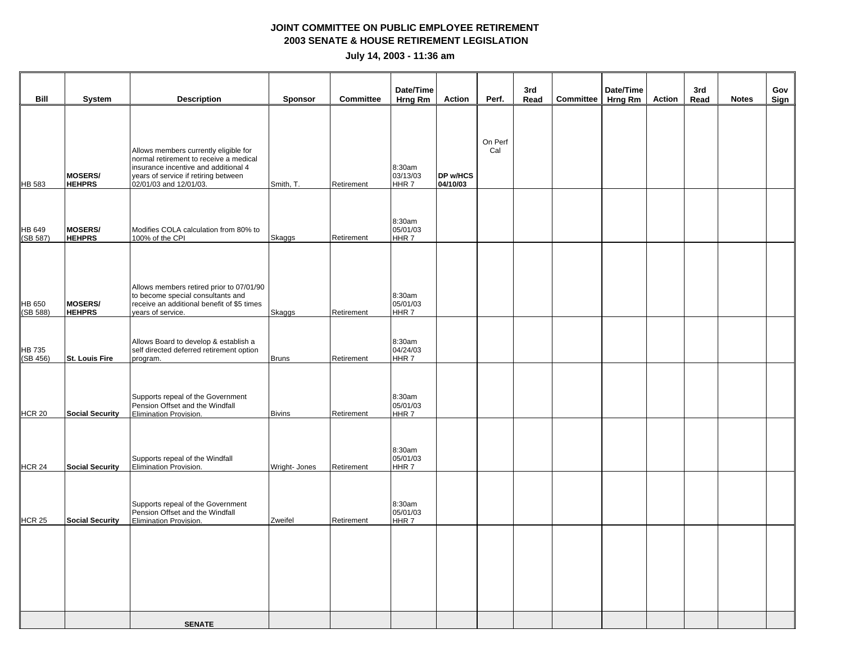|                    |                                 |                                                                                                                                                                                           |                |                  | Date/Time                          |                             |                | 3rd  |                   | Date/Time |        | 3rd  |              | Gov  |
|--------------------|---------------------------------|-------------------------------------------------------------------------------------------------------------------------------------------------------------------------------------------|----------------|------------------|------------------------------------|-----------------------------|----------------|------|-------------------|-----------|--------|------|--------------|------|
| Bill               | <b>System</b>                   | <b>Description</b>                                                                                                                                                                        | <b>Sponsor</b> | <b>Committee</b> | Hrng Rm                            | Action                      | Perf.          | Read | Committee Hrng Rm |           | Action | Read | <b>Notes</b> | Sign |
| <b>HB 583</b>      | <b>MOSERS/</b><br><b>HEHPRS</b> | Allows members currently eligible for<br>normal retirement to receive a medical<br>insurance incentive and additional 4<br>years of service if retiring between<br>02/01/03 and 12/01/03. | Smith, T.      | Retirement       | 8:30am<br>03/13/03<br>HHR 7        | <b>DP w/HCS</b><br>04/10/03 | On Perf<br>Cal |      |                   |           |        |      |              |      |
| HB 649<br>(SB 587) | <b>MOSERS/</b><br><b>HEHPRS</b> | Modifies COLA calculation from 80% to<br>100% of the CPI                                                                                                                                  | Skaggs         | Retirement       | 8:30am<br>05/01/03<br>HHR 7        |                             |                |      |                   |           |        |      |              |      |
| HB 650<br>(SB 588) | MOSERS/<br><b>HEHPRS</b>        | Allows members retired prior to 07/01/90<br>to become special consultants and<br>receive an additional benefit of \$5 times<br>years of service.                                          | <b>Skaggs</b>  | Retirement       | 8:30am<br>05/01/03<br>HHR 7        |                             |                |      |                   |           |        |      |              |      |
| HB 735<br>(SB 456) | St. Louis Fire                  | Allows Board to develop & establish a<br>self directed deferred retirement option<br>program.                                                                                             | <b>Bruns</b>   | Retirement       | 8:30am<br>04/24/03<br>HHR 7        |                             |                |      |                   |           |        |      |              |      |
| <b>HCR 20</b>      | <b>Social Security</b>          | Supports repeal of the Government<br>Pension Offset and the Windfall<br>Elimination Provision.                                                                                            | <b>Bivins</b>  | Retirement       | 8:30am<br>05/01/03<br><b>HHR 7</b> |                             |                |      |                   |           |        |      |              |      |
| <b>HCR 24</b>      | <b>Social Security</b>          | Supports repeal of the Windfall<br>Elimination Provision.                                                                                                                                 | Wright- Jones  | Retirement       | 8:30am<br>05/01/03<br>HHR 7        |                             |                |      |                   |           |        |      |              |      |
| <b>HCR 25</b>      | <b>Social Security</b>          | Supports repeal of the Government<br>Pension Offset and the Windfall<br>Elimination Provision.                                                                                            | Zweifel        | Retirement       | 8:30am<br>05/01/03<br>HHR 7        |                             |                |      |                   |           |        |      |              |      |
|                    |                                 |                                                                                                                                                                                           |                |                  |                                    |                             |                |      |                   |           |        |      |              |      |
|                    |                                 | <b>SENATE</b>                                                                                                                                                                             |                |                  |                                    |                             |                |      |                   |           |        |      |              |      |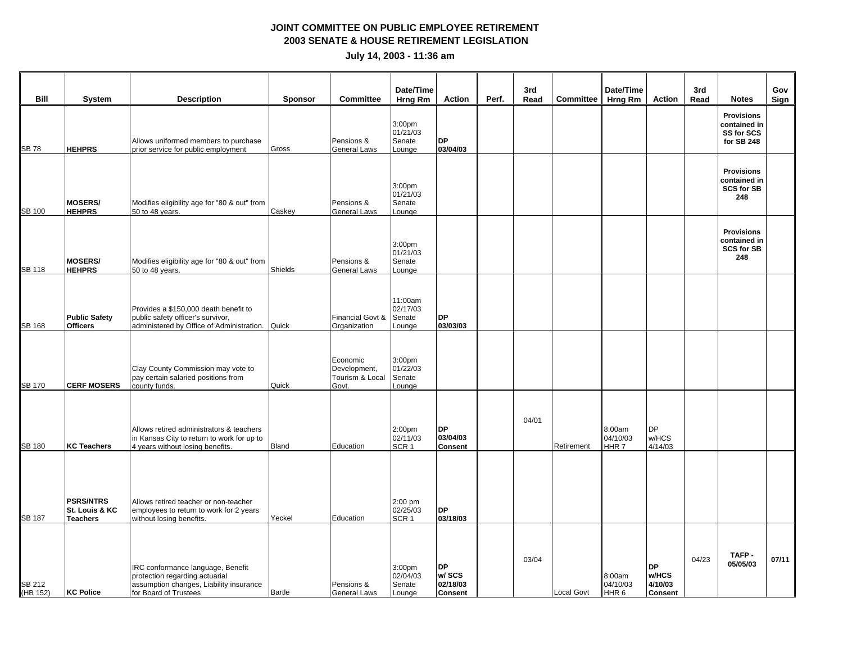| <b>Bill</b>        | System                                                | <b>Description</b>                                                                                                                      | <b>Sponsor</b> | <b>Committee</b>                                     | Date/Time<br>Hrng Rm                               | Action                                            | Perf. | 3rd<br>Read | <b>Committee</b> | Date/Time<br><b>Hrng Rm</b>            | <b>Action</b>                                   | 3rd<br>Read | <b>Notes</b>                                                  | Gov<br>Sign |
|--------------------|-------------------------------------------------------|-----------------------------------------------------------------------------------------------------------------------------------------|----------------|------------------------------------------------------|----------------------------------------------------|---------------------------------------------------|-------|-------------|------------------|----------------------------------------|-------------------------------------------------|-------------|---------------------------------------------------------------|-------------|
| <b>SB78</b>        | <b>HEHPRS</b>                                         | Allows uniformed members to purchase<br>prior service for public employment                                                             | Gross          | Pensions &<br><b>General Laws</b>                    | 3:00 <sub>pm</sub><br>01/21/03<br>Senate<br>Lounge | <b>DP</b><br>03/04/03                             |       |             |                  |                                        |                                                 |             | <b>Provisions</b><br>contained in<br>SS for SCS<br>for SB 248 |             |
| <b>SB 100</b>      | <b>MOSERS/</b><br><b>HEHPRS</b>                       | Modifies eligibility age for "80 & out" from<br>50 to 48 years.                                                                         | Caskey         | Pensions &<br><b>General Laws</b>                    | 3:00 <sub>pm</sub><br>01/21/03<br>Senate<br>Lounge |                                                   |       |             |                  |                                        |                                                 |             | <b>Provisions</b><br>contained in<br><b>SCS for SB</b><br>248 |             |
| <b>SB 118</b>      | <b>MOSERS/</b><br><b>HEHPRS</b>                       | Modifies eligibility age for "80 & out" from<br>50 to 48 years.                                                                         | Shields        | Pensions &<br>General Laws                           | 3:00 <sub>pm</sub><br>01/21/03<br>Senate<br>Lounge |                                                   |       |             |                  |                                        |                                                 |             | <b>Provisions</b><br>contained in<br><b>SCS for SB</b><br>248 |             |
| <b>SB 168</b>      | <b>Public Safety</b><br><b>Officers</b>               | Provides a \$150,000 death benefit to<br>public safety officer's survivor,<br>administered by Office of Administration.                 | Quick          | Financial Govt &<br>Organization                     | 11:00am<br>02/17/03<br>Senate<br>Lounge            | <b>DP</b><br>03/03/03                             |       |             |                  |                                        |                                                 |             |                                                               |             |
| <b>SB 170</b>      | <b>CERF MOSERS</b>                                    | Clay County Commission may vote to<br>pay certain salaried positions from<br>county funds.                                              | Quick          | Economic<br>Development,<br>Tourism & Local<br>Govt. | 3:00 <sub>pm</sub><br>01/22/03<br>Senate<br>Lounge |                                                   |       |             |                  |                                        |                                                 |             |                                                               |             |
| <b>SB 180</b>      | <b>KC Teachers</b>                                    | Allows retired administrators & teachers<br>in Kansas City to return to work for up to<br>4 years without losing benefits.              | Bland          | Education                                            | 2:00 <sub>pm</sub><br>02/11/03<br>SCR <sub>1</sub> | <b>DP</b><br>03/04/03<br><b>Consent</b>           |       | 04/01       | Retirement       | 8:00am<br>04/10/03<br>HHR <sub>7</sub> | DP.<br>w/HCS<br>4/14/03                         |             |                                                               |             |
| <b>SB 187</b>      | <b>PSRS/NTRS</b><br>St. Louis & KC<br><b>Teachers</b> | Allows retired teacher or non-teacher<br>employees to return to work for 2 years<br>without losing benefits.                            | Yeckel         | Education                                            | 2:00 pm<br>02/25/03<br>SCR <sub>1</sub>            | <b>DP</b><br>03/18/03                             |       |             |                  |                                        |                                                 |             |                                                               |             |
| SB 212<br>(HB 152) | <b>KC Police</b>                                      | IRC conformance language, Benefit<br>protection regarding actuarial<br>assumption changes, Liability insurance<br>for Board of Trustees | Bartle         | Pensions &<br><b>General Laws</b>                    | 3:00pm<br>02/04/03<br>Senate<br>Lounge             | <b>DP</b><br>w/ SCS<br>02/18/03<br><b>Consent</b> |       | 03/04       | Local Govt       | 8:00am<br>04/10/03<br>HHR <sub>6</sub> | <b>DP</b><br>w/HCS<br>4/10/03<br><b>Consent</b> | 04/23       | TAFP-<br>05/05/03                                             | 07/11       |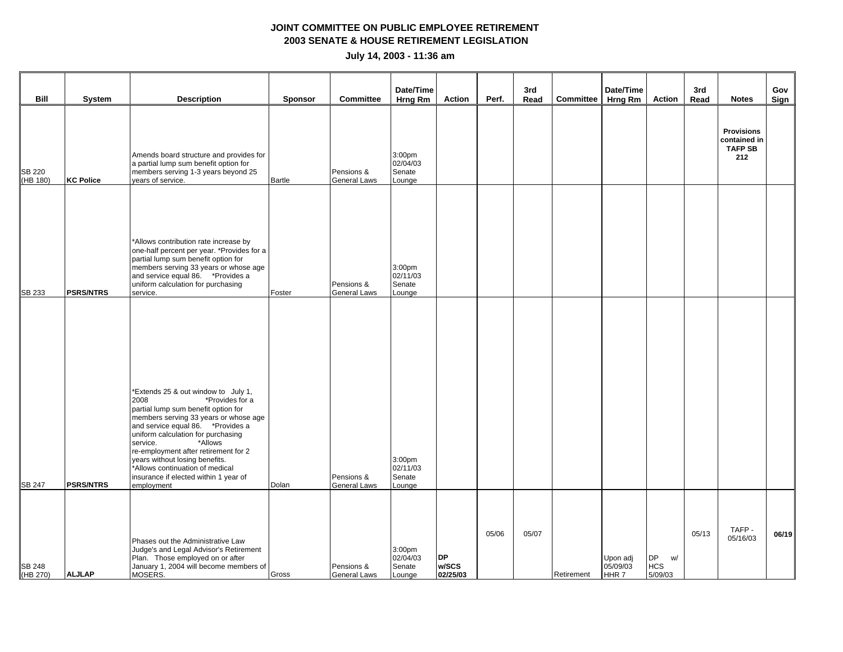| Bill                      | System           | <b>Description</b>                                                                                                                                                                                                                                                                                                                                                                                                    | <b>Sponsor</b> | <b>Committee</b>                  | Date/Time<br><b>Hrng Rm</b>                        | <b>Action</b>                  | Perf. | 3rd<br>Read | <b>Committee</b> | Date/Time<br><b>Hrng Rm</b>   | Action                                   | 3rd<br>Read | <b>Notes</b>                                               | Gov<br>Sign |
|---------------------------|------------------|-----------------------------------------------------------------------------------------------------------------------------------------------------------------------------------------------------------------------------------------------------------------------------------------------------------------------------------------------------------------------------------------------------------------------|----------------|-----------------------------------|----------------------------------------------------|--------------------------------|-------|-------------|------------------|-------------------------------|------------------------------------------|-------------|------------------------------------------------------------|-------------|
| <b>SB 220</b><br>(HB 180) | <b>KC Police</b> | Amends board structure and provides for<br>a partial lump sum benefit option for<br>members serving 1-3 years beyond 25<br>years of service.                                                                                                                                                                                                                                                                          | Bartle         | Pensions &<br>General Laws        | 3:00 <sub>pm</sub><br>02/04/03<br>Senate<br>Lounge |                                |       |             |                  |                               |                                          |             | <b>Provisions</b><br>contained in<br><b>TAFP SB</b><br>212 |             |
| <b>SB 233</b>             | <b>PSRS/NTRS</b> | *Allows contribution rate increase by<br>one-half percent per year. *Provides for a<br>partial lump sum benefit option for<br>members serving 33 years or whose age<br>and service equal 86. * Provides a<br>uniform calculation for purchasing<br>service.                                                                                                                                                           | Foster         | Pensions &<br>General Laws        | 3:00 <sub>pm</sub><br>02/11/03<br>Senate<br>Lounge |                                |       |             |                  |                               |                                          |             |                                                            |             |
| <b>SB 247</b>             | <b>PSRS/NTRS</b> | *Extends 25 & out window to July 1,<br>2008<br>*Provides for a<br>partial lump sum benefit option for<br>members serving 33 years or whose age<br>and service equal 86. * Provides a<br>uniform calculation for purchasing<br>*Allows<br>service.<br>re-employment after retirement for 2<br>years without losing benefits.<br>*Allows continuation of medical<br>insurance if elected within 1 year of<br>employment | Dolan          | Pensions &<br>General Laws        | 3:00 <sub>pm</sub><br>02/11/03<br>Senate<br>Lounge |                                |       |             |                  |                               |                                          |             |                                                            |             |
| <b>SB 248</b><br>(HB 270) | <b>ALJLAP</b>    | Phases out the Administrative Law<br>Judge's and Legal Advisor's Retirement<br>Plan. Those employed on or after<br>January 1, 2004 will become members of<br>MOSERS.                                                                                                                                                                                                                                                  | Gross          | Pensions &<br><b>General Laws</b> | 3:00 <sub>pm</sub><br>02/04/03<br>Senate<br>Lounge | <b>DP</b><br>w/SCS<br>02/25/03 | 05/06 | 05/07       | Retirement       | Upon adj<br>05/09/03<br>HHR 7 | <b>DP</b><br>w/<br><b>HCS</b><br>5/09/03 | 05/13       | TAFP-<br>05/16/03                                          | 06/19       |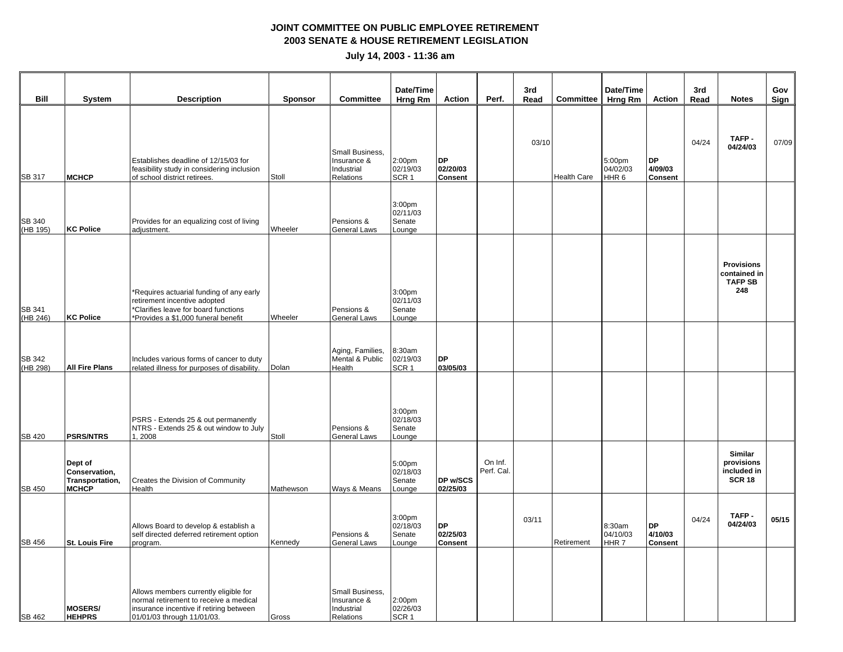| Bill                      | <b>System</b>                                               | <b>Description</b>                                                                                                                                       | <b>Sponsor</b> | <b>Committee</b>                                          | Date/Time<br>Hrng Rm                               | <b>Action</b>                           | Perf.                 | 3rd<br>Read | <b>Committee</b>   | Date/Time<br>Hrng Rm                   | <b>Action</b>                          | 3rd<br>Read | <b>Notes</b>                                                 | Gov<br>Sign |
|---------------------------|-------------------------------------------------------------|----------------------------------------------------------------------------------------------------------------------------------------------------------|----------------|-----------------------------------------------------------|----------------------------------------------------|-----------------------------------------|-----------------------|-------------|--------------------|----------------------------------------|----------------------------------------|-------------|--------------------------------------------------------------|-------------|
| SB 317                    | <b>MCHCP</b>                                                | Establishes deadline of 12/15/03 for<br>feasibility study in considering inclusion<br>of school district retirees.                                       | Stoll          | Small Business,<br>Insurance &<br>Industrial<br>Relations | 2:00pm<br>02/19/03<br>SCR <sub>1</sub>             | <b>DP</b><br>02/20/03<br><b>Consent</b> |                       | 03/10       | <b>Health Care</b> | 5:00pm<br>04/02/03<br>HHR <sub>6</sub> | <b>DP</b><br>4/09/03<br><b>Consent</b> | 04/24       | TAFP-<br>04/24/03                                            | 07/09       |
| <b>SB 340</b><br>(HB 195) | <b>KC Police</b>                                            | Provides for an equalizing cost of living<br>adjustment.                                                                                                 | Wheeler        | Pensions &<br>General Laws                                | 3:00 <sub>pm</sub><br>02/11/03<br>Senate<br>Lounge |                                         |                       |             |                    |                                        |                                        |             |                                                              |             |
| <b>SB 341</b><br>(HB 246) | <b>KC Police</b>                                            | *Requires actuarial funding of any early<br>retirement incentive adopted<br>*Clarifies leave for board functions<br>*Provides a \$1,000 funeral benefit  | Wheeler        | Pensions &<br><b>General Laws</b>                         | 3:00 <sub>pm</sub><br>02/11/03<br>Senate<br>Lounge |                                         |                       |             |                    |                                        |                                        |             | <b>Provisions</b><br>contained in<br><b>TAFP SB</b><br>248   |             |
| <b>SB 342</b><br>(HB 298) | <b>All Fire Plans</b>                                       | Includes various forms of cancer to duty<br>related illness for purposes of disability.                                                                  | Dolan          | Aging, Families,<br>Mental & Public<br>Health             | 8:30am<br>02/19/03<br>SCR <sub>1</sub>             | <b>DP</b><br>03/05/03                   |                       |             |                    |                                        |                                        |             |                                                              |             |
| <b>SB 420</b>             | <b>PSRS/NTRS</b>                                            | PSRS - Extends 25 & out permanently<br>NTRS - Extends 25 & out window to July<br>1,2008                                                                  | Stoll          | Pensions &<br>General Laws                                | 3:00 <sub>pm</sub><br>02/18/03<br>Senate<br>Lounge |                                         |                       |             |                    |                                        |                                        |             |                                                              |             |
| <b>SB 450</b>             | Dept of<br>Conservation,<br>Transportation,<br><b>MCHCP</b> | Creates the Division of Community<br>Health                                                                                                              | Mathewson      | Ways & Means                                              | 5:00pm<br>02/18/03<br>Senate<br>Lounge             | DP w/SCS<br>02/25/03                    | On Inf.<br>Perf. Cal. |             |                    |                                        |                                        |             | <b>Similar</b><br>provisions<br>included in<br><b>SCR 18</b> |             |
| SB 456                    | St. Louis Fire                                              | Allows Board to develop & establish a<br>self directed deferred retirement option<br>program.                                                            | Kennedy        | Pensions &<br>General Laws                                | 3:00 <sub>pm</sub><br>02/18/03<br>Senate<br>Lounge | <b>DP</b><br>02/25/03<br><b>Consent</b> |                       | 03/11       | Retirement         | 8:30am<br>04/10/03<br>HHR <sub>7</sub> | <b>DP</b><br>4/10/03<br><b>Consent</b> | 04/24       | TAFP-<br>04/24/03                                            | 05/15       |
| <b>SB 462</b>             | <b>MOSERS/</b><br><b>HEHPRS</b>                             | Allows members currently eligible for<br>normal retirement to receive a medical<br>insurance incentive if retiring between<br>01/01/03 through 11/01/03. | Gross          | Small Business,<br>Insurance &<br>Industrial<br>Relations | 2:00 <sub>pm</sub><br>02/26/03<br>SCR <sub>1</sub> |                                         |                       |             |                    |                                        |                                        |             |                                                              |             |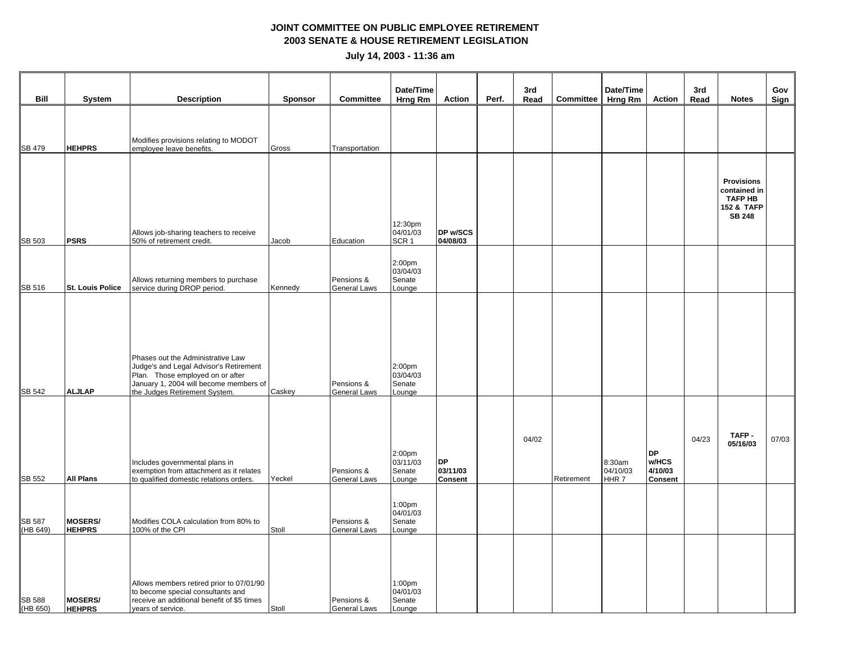| Bill                      | <b>System</b>                   | <b>Description</b>                                                                                                                                                                         | <b>Sponsor</b> | <b>Committee</b>                  | Date/Time<br>Hrng Rm                               | Action                                  | Perf. | 3rd<br>Read | <b>Committee</b> | Date/Time<br>Hrng Rm                   | Action                                          | 3rd<br>Read | <b>Notes</b>                                                                       | Gov<br><b>Sign</b> |
|---------------------------|---------------------------------|--------------------------------------------------------------------------------------------------------------------------------------------------------------------------------------------|----------------|-----------------------------------|----------------------------------------------------|-----------------------------------------|-------|-------------|------------------|----------------------------------------|-------------------------------------------------|-------------|------------------------------------------------------------------------------------|--------------------|
| <b>SB 479</b>             | <b>HEHPRS</b>                   | Modifies provisions relating to MODOT<br>employee leave benefits.                                                                                                                          | Gross          | Transportation                    |                                                    |                                         |       |             |                  |                                        |                                                 |             |                                                                                    |                    |
| SB 503                    | <b>PSRS</b>                     | Allows job-sharing teachers to receive<br>50% of retirement credit.                                                                                                                        | Jacob          | Education                         | 12:30pm<br>04/01/03<br>SCR <sub>1</sub>            | DP w/SCS<br>04/08/03                    |       |             |                  |                                        |                                                 |             | <b>Provisions</b><br>contained in<br><b>TAFP HB</b><br>152 & TAFP<br><b>SB 248</b> |                    |
| SB 516                    | <b>St. Louis Police</b>         | Allows returning members to purchase<br>service during DROP period.                                                                                                                        | Kennedy        | Pensions &<br><b>General Laws</b> | 2:00 <sub>pm</sub><br>03/04/03<br>Senate<br>Lounge |                                         |       |             |                  |                                        |                                                 |             |                                                                                    |                    |
| <b>SB 542</b>             | <b>ALJLAP</b>                   | Phases out the Administrative Law<br>Judge's and Legal Advisor's Retirement<br>Plan. Those employed on or after<br>January 1, 2004 will become members of<br>the Judges Retirement System. | Caskey         | Pensions &<br>General Laws        | 2:00 <sub>pm</sub><br>03/04/03<br>Senate<br>Lounge |                                         |       |             |                  |                                        |                                                 |             |                                                                                    |                    |
| <b>SB 552</b>             | <b>All Plans</b>                | Includes governmental plans in<br>exemption from attachment as it relates<br>to qualified domestic relations orders.                                                                       | Yeckel         | Pensions &<br><b>General Laws</b> | 2:00 <sub>pm</sub><br>03/11/03<br>Senate<br>Lounge | <b>DP</b><br>03/11/03<br><b>Consent</b> |       | 04/02       | Retirement       | 8:30am<br>04/10/03<br>HHR <sub>7</sub> | <b>DP</b><br>w/HCS<br>4/10/03<br><b>Consent</b> | 04/23       | TAFP-<br>05/16/03                                                                  | 07/03              |
| <b>SB 587</b><br>(HB 649) | <b>MOSERS/</b><br><b>HEHPRS</b> | Modifies COLA calculation from 80% to<br>100% of the CPI                                                                                                                                   | Stoll          | Pensions &<br><b>General Laws</b> | 1:00pm<br>04/01/03<br>Senate<br>Lounge             |                                         |       |             |                  |                                        |                                                 |             |                                                                                    |                    |
| <b>SB 588</b><br>(HB 650) | <b>MOSERS/</b><br><b>HEHPRS</b> | Allows members retired prior to 07/01/90<br>to become special consultants and<br>receive an additional benefit of \$5 times<br>years of service.                                           | Stoll          | Pensions &<br><b>General Laws</b> | 1:00 <sub>pm</sub><br>04/01/03<br>Senate<br>Lounge |                                         |       |             |                  |                                        |                                                 |             |                                                                                    |                    |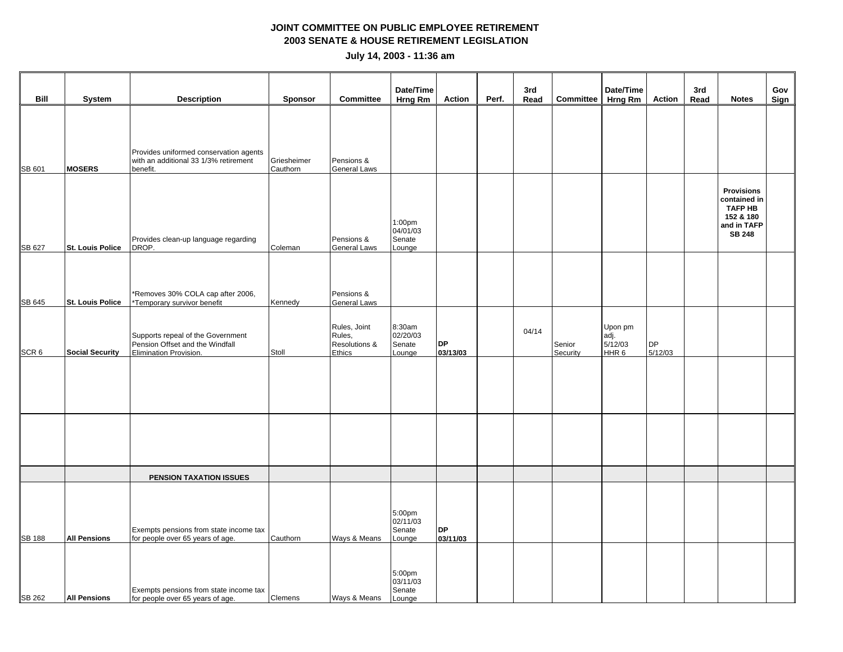|                  |                         |                                                                                                |                         |                                                   | Date/Time                              |                       |       | 3rd   |                    | Date/Time                                      |                      | 3rd  |                                                                                                  | Gov  |
|------------------|-------------------------|------------------------------------------------------------------------------------------------|-------------------------|---------------------------------------------------|----------------------------------------|-----------------------|-------|-------|--------------------|------------------------------------------------|----------------------|------|--------------------------------------------------------------------------------------------------|------|
| Bill             | System                  | <b>Description</b>                                                                             | Sponsor                 | <b>Committee</b>                                  | Hrng Rm                                | <b>Action</b>         | Perf. | Read  | Committee Hrng Rm  |                                                | Action               | Read | <b>Notes</b>                                                                                     | Sign |
| SB 601           | <b>MOSERS</b>           | Provides uniformed conservation agents<br>with an additional 33 1/3% retirement<br>benefit.    | Griesheimer<br>Cauthorn | Pensions &<br>General Laws                        |                                        |                       |       |       |                    |                                                |                      |      |                                                                                                  |      |
| SB 627           | <b>St. Louis Police</b> | Provides clean-up language regarding<br>DROP.                                                  | Coleman                 | Pensions &<br>General Laws                        | 1:00pm<br>04/01/03<br>Senate<br>Lounge |                       |       |       |                    |                                                |                      |      | <b>Provisions</b><br>contained in<br><b>TAFP HB</b><br>152 & 180<br>and in TAFP<br><b>SB 248</b> |      |
| SB 645           | St. Louis Police        | *Removes 30% COLA cap after 2006,<br>*Temporary survivor benefit                               | Kennedy                 | Pensions &<br><b>General Laws</b>                 |                                        |                       |       |       |                    |                                                |                      |      |                                                                                                  |      |
| SCR <sub>6</sub> | <b>Social Security</b>  | Supports repeal of the Government<br>Pension Offset and the Windfall<br>Elimination Provision. | Stoll                   | Rules, Joint<br>Rules,<br>Resolutions &<br>Ethics | 8:30am<br>02/20/03<br>Senate<br>Lounge | <b>DP</b><br>03/13/03 |       | 04/14 | Senior<br>Security | Upon pm<br>adj.<br>5/12/03<br>HHR <sub>6</sub> | <b>DP</b><br>5/12/03 |      |                                                                                                  |      |
|                  |                         |                                                                                                |                         |                                                   |                                        |                       |       |       |                    |                                                |                      |      |                                                                                                  |      |
|                  |                         |                                                                                                |                         |                                                   |                                        |                       |       |       |                    |                                                |                      |      |                                                                                                  |      |
|                  |                         | PENSION TAXATION ISSUES                                                                        |                         |                                                   |                                        |                       |       |       |                    |                                                |                      |      |                                                                                                  |      |
| <b>SB 188</b>    | <b>All Pensions</b>     | Exempts pensions from state income tax<br>for people over 65 years of age.                     | Cauthorn                | Ways & Means                                      | 5:00pm<br>02/11/03<br>Senate<br>Lounge | <b>DP</b><br>03/11/03 |       |       |                    |                                                |                      |      |                                                                                                  |      |
| <b>SB 262</b>    | <b>All Pensions</b>     | Exempts pensions from state income tax<br>for people over 65 years of age.                     | Clemens                 | Ways & Means                                      | 5:00pm<br>03/11/03<br>Senate<br>Lounge |                       |       |       |                    |                                                |                      |      |                                                                                                  |      |